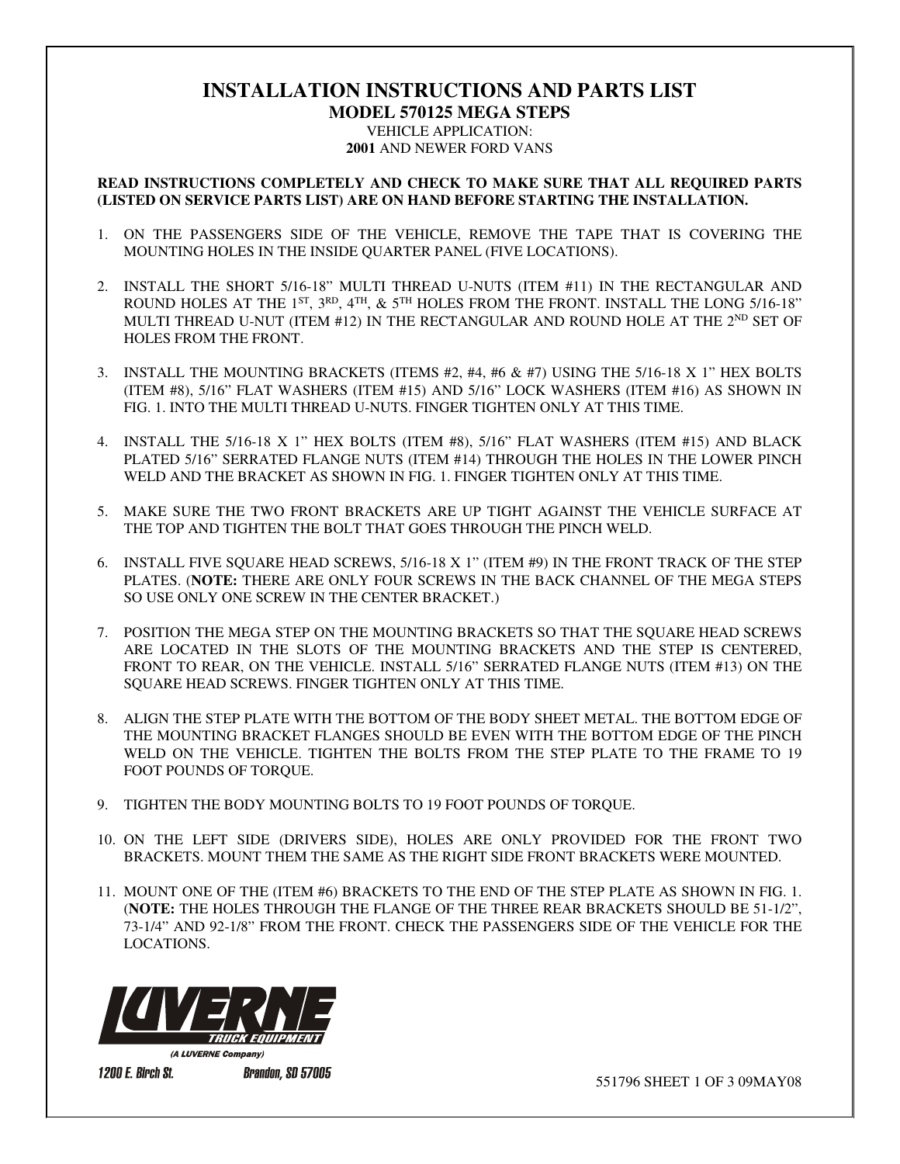## **INSTALLATION INSTRUCTIONS AND PARTS LIST**

**MODEL 570125 MEGA STEPS**  VEHICLE APPLICATION: **2001** AND NEWER FORD VANS

## **READ INSTRUCTIONS COMPLETELY AND CHECK TO MAKE SURE THAT ALL REQUIRED PARTS (LISTED ON SERVICE PARTS LIST) ARE ON HAND BEFORE STARTING THE INSTALLATION.**

- 1. ON THE PASSENGERS SIDE OF THE VEHICLE, REMOVE THE TAPE THAT IS COVERING THE MOUNTING HOLES IN THE INSIDE QUARTER PANEL (FIVE LOCATIONS).
- 2. INSTALL THE SHORT 5/16-18" MULTI THREAD U-NUTS (ITEM #11) IN THE RECTANGULAR AND ROUND HOLES AT THE 1<sup>ST</sup>, 3<sup>RD</sup>, 4<sup>TH</sup>, & 5<sup>TH</sup> HOLES FROM THE FRONT. INSTALL THE LONG 5/16-18" MULTI THREAD U-NUT (ITEM #12) IN THE RECTANGULAR AND ROUND HOLE AT THE  $2^{ND}$  SET OF HOLES FROM THE FRONT.
- 3. INSTALL THE MOUNTING BRACKETS (ITEMS #2, #4, #6 & #7) USING THE 5/16-18 X 1" HEX BOLTS (ITEM #8), 5/16" FLAT WASHERS (ITEM #15) AND 5/16" LOCK WASHERS (ITEM #16) AS SHOWN IN FIG. 1. INTO THE MULTI THREAD U-NUTS. FINGER TIGHTEN ONLY AT THIS TIME.
- 4. INSTALL THE 5/16-18 X 1" HEX BOLTS (ITEM #8), 5/16" FLAT WASHERS (ITEM #15) AND BLACK PLATED 5/16" SERRATED FLANGE NUTS (ITEM #14) THROUGH THE HOLES IN THE LOWER PINCH WELD AND THE BRACKET AS SHOWN IN FIG. 1. FINGER TIGHTEN ONLY AT THIS TIME.
- 5. MAKE SURE THE TWO FRONT BRACKETS ARE UP TIGHT AGAINST THE VEHICLE SURFACE AT THE TOP AND TIGHTEN THE BOLT THAT GOES THROUGH THE PINCH WELD.
- 6. INSTALL FIVE SQUARE HEAD SCREWS, 5/16-18 X 1" (ITEM #9) IN THE FRONT TRACK OF THE STEP PLATES. (**NOTE:** THERE ARE ONLY FOUR SCREWS IN THE BACK CHANNEL OF THE MEGA STEPS SO USE ONLY ONE SCREW IN THE CENTER BRACKET.)
- 7. POSITION THE MEGA STEP ON THE MOUNTING BRACKETS SO THAT THE SQUARE HEAD SCREWS ARE LOCATED IN THE SLOTS OF THE MOUNTING BRACKETS AND THE STEP IS CENTERED, FRONT TO REAR, ON THE VEHICLE. INSTALL 5/16" SERRATED FLANGE NUTS (ITEM #13) ON THE SQUARE HEAD SCREWS. FINGER TIGHTEN ONLY AT THIS TIME.
- 8. ALIGN THE STEP PLATE WITH THE BOTTOM OF THE BODY SHEET METAL. THE BOTTOM EDGE OF THE MOUNTING BRACKET FLANGES SHOULD BE EVEN WITH THE BOTTOM EDGE OF THE PINCH WELD ON THE VEHICLE. TIGHTEN THE BOLTS FROM THE STEP PLATE TO THE FRAME TO 19 FOOT POUNDS OF TORQUE.
- 9. TIGHTEN THE BODY MOUNTING BOLTS TO 19 FOOT POUNDS OF TORQUE.
- 10. ON THE LEFT SIDE (DRIVERS SIDE), HOLES ARE ONLY PROVIDED FOR THE FRONT TWO BRACKETS. MOUNT THEM THE SAME AS THE RIGHT SIDE FRONT BRACKETS WERE MOUNTED.
- 11. MOUNT ONE OF THE (ITEM #6) BRACKETS TO THE END OF THE STEP PLATE AS SHOWN IN FIG. 1. (**NOTE:** THE HOLES THROUGH THE FLANGE OF THE THREE REAR BRACKETS SHOULD BE 51-1/2", 73-1/4" AND 92-1/8" FROM THE FRONT. CHECK THE PASSENGERS SIDE OF THE VEHICLE FOR THE LOCATIONS.



**1200 E. Birch St.** 

**Brandon, SD 57005** 

551796 SHEET 1 OF 3 09MAY08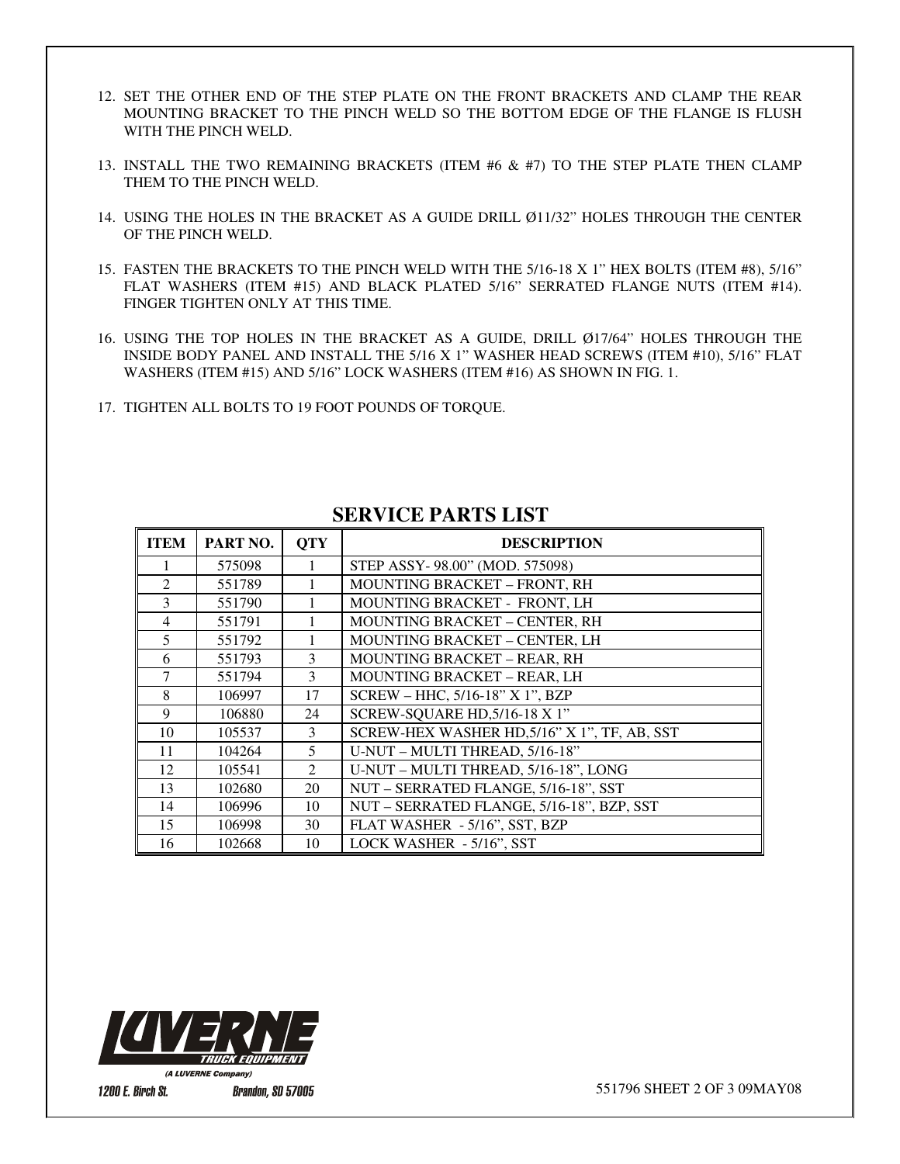- 12. SET THE OTHER END OF THE STEP PLATE ON THE FRONT BRACKETS AND CLAMP THE REAR MOUNTING BRACKET TO THE PINCH WELD SO THE BOTTOM EDGE OF THE FLANGE IS FLUSH WITH THE PINCH WELD.
- 13. INSTALL THE TWO REMAINING BRACKETS (ITEM #6 & #7) TO THE STEP PLATE THEN CLAMP THEM TO THE PINCH WELD.
- 14. USING THE HOLES IN THE BRACKET AS A GUIDE DRILL Ø11/32" HOLES THROUGH THE CENTER OF THE PINCH WELD.
- 15. FASTEN THE BRACKETS TO THE PINCH WELD WITH THE 5/16-18 X 1" HEX BOLTS (ITEM #8), 5/16" FLAT WASHERS (ITEM #15) AND BLACK PLATED 5/16" SERRATED FLANGE NUTS (ITEM #14). FINGER TIGHTEN ONLY AT THIS TIME.
- 16. USING THE TOP HOLES IN THE BRACKET AS A GUIDE, DRILL Ø17/64" HOLES THROUGH THE INSIDE BODY PANEL AND INSTALL THE 5/16 X 1" WASHER HEAD SCREWS (ITEM #10), 5/16" FLAT WASHERS (ITEM #15) AND 5/16" LOCK WASHERS (ITEM #16) AS SHOWN IN FIG. 1.
- 17. TIGHTEN ALL BOLTS TO 19 FOOT POUNDS OF TORQUE.

| <b>ITEM</b>    | PART NO. | <b>OTY</b>   | <b>DESCRIPTION</b>                           |
|----------------|----------|--------------|----------------------------------------------|
|                | 575098   |              | STEP ASSY-98.00" (MOD. 575098)               |
| $\mathfrak{D}$ | 551789   |              | MOUNTING BRACKET - FRONT, RH                 |
| 3              | 551790   |              | MOUNTING BRACKET - FRONT, LH                 |
| $\overline{4}$ | 551791   |              | <b>MOUNTING BRACKET - CENTER, RH</b>         |
| 5              | 551792   |              | MOUNTING BRACKET - CENTER, LH                |
| 6              | 551793   | 3            | <b>MOUNTING BRACKET - REAR, RH</b>           |
| 7              | 551794   | $\mathbf{3}$ | <b>MOUNTING BRACKET - REAR, LH</b>           |
| 8              | 106997   | 17           | SCREW - HHC, 5/16-18" X 1", BZP              |
| 9              | 106880   | 24           | SCREW-SQUARE HD, 5/16-18 X 1"                |
| 10             | 105537   | 3            | SCREW-HEX WASHER HD, 5/16" X 1", TF, AB, SST |
| 11             | 104264   | 5            | U-NUT - MULTI THREAD, 5/16-18"               |
| 12             | 105541   | 2            | U-NUT - MULTI THREAD, 5/16-18", LONG         |
| 13             | 102680   | 20           | NUT - SERRATED FLANGE, 5/16-18", SST         |
| 14             | 106996   | 10           | NUT - SERRATED FLANGE, 5/16-18", BZP, SST    |
| 15             | 106998   | 30           | FLAT WASHER - 5/16", SST, BZP                |
| 16             | 102668   | 10           | LOCK WASHER - 5/16", SST                     |

## **SERVICE PARTS LIST**



**1200 E. Birch St.** 

**Brandon, SD 57005**